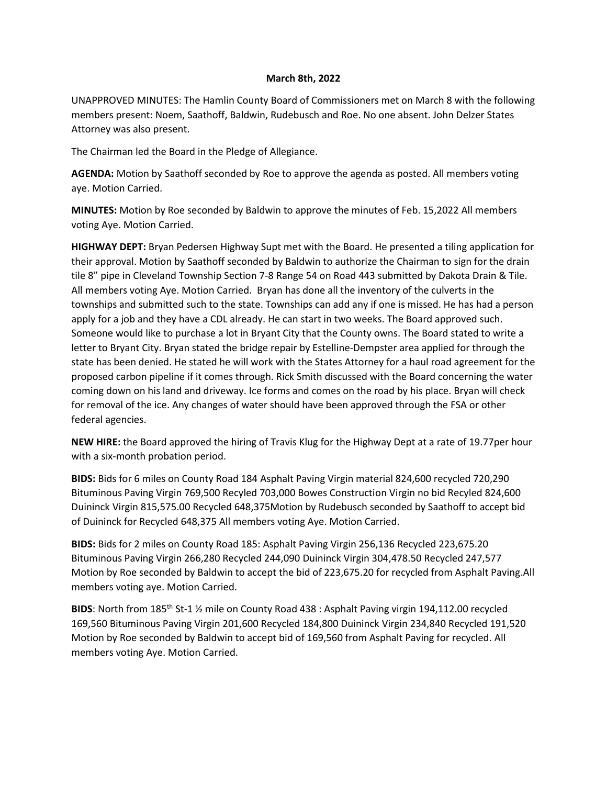## **March 8th, 2022**

UNAPPROVED MINUTES: The Hamlin County Board of Commissioners met on March 8 with the following members present: Noem, Saathoff, Baldwin, Rudebusch and Roe. No one absent. John Delzer States Attorney was also present.

The Chairman led the Board in the Pledge of Allegiance.

**AGENDA:** Motion by Saathoff seconded by Roe to approve the agenda as posted. All members voting aye. Motion Carried.

**MINUTES:** Motion by Roe seconded by Baldwin to approve the minutes of Feb. 15,2022 All members voting Aye. Motion Carried.

**HIGHWAY DEPT:** Bryan Pedersen Highway Supt met with the Board. He presented a tiling application for their approval. Motion by Saathoff seconded by Baldwin to authorize the Chairman to sign for the drain tile 8" pipe in Cleveland Township Section 7-8 Range 54 on Road 443 submitted by Dakota Drain & Tile. All members voting Aye. Motion Carried. Bryan has done all the inventory of the culverts in the townships and submitted such to the state. Townships can add any if one is missed. He has had a person apply for a job and they have a CDL already. He can start in two weeks. The Board approved such. Someone would like to purchase a lot in Bryant City that the County owns. The Board stated to write a letter to Bryant City. Bryan stated the bridge repair by Estelline-Dempster area applied for through the state has been denied. He stated he will work with the States Attorney for a haul road agreement for the proposed carbon pipeline if it comes through. Rick Smith discussed with the Board concerning the water coming down on his land and driveway. Ice forms and comes on the road by his place. Bryan will check for removal of the ice. Any changes of water should have been approved through the FSA or other federal agencies.

**NEW HIRE:** the Board approved the hiring of Travis Klug for the Highway Dept at a rate of 19.77per hour with a six-month probation period.

**BIDS:** Bids for 6 miles on County Road 184 Asphalt Paving Virgin material 824,600 recycled 720,290 Bituminous Paving Virgin 769,500 Recyled 703,000 Bowes Construction Virgin no bid Recyled 824,600 Duininck Virgin 815,575.00 Recycled 648,375Motion by Rudebusch seconded by Saathoff to accept bid of Duininck for Recycled 648,375 All members voting Aye. Motion Carried.

**BIDS:** Bids for 2 miles on County Road 185: Asphalt Paving Virgin 256,136 Recycled 223,675.20 Bituminous Paving Virgin 266,280 Recycled 244,090 Duininck Virgin 304,478.50 Recycled 247,577 Motion by Roe seconded by Baldwin to accept the bid of 223,675.20 for recycled from Asphalt Paving.All members voting aye. Motion Carried.

BIDS: North from 185<sup>th</sup> St-1 1/<sub>2</sub> mile on County Road 438 : Asphalt Paving virgin 194,112.00 recycled 169,560 Bituminous Paving Virgin 201,600 Recycled 184,800 Duininck Virgin 234,840 Recycled 191,520 Motion by Roe seconded by Baldwin to accept bid of 169,560 from Asphalt Paving for recycled. All members voting Aye. Motion Carried.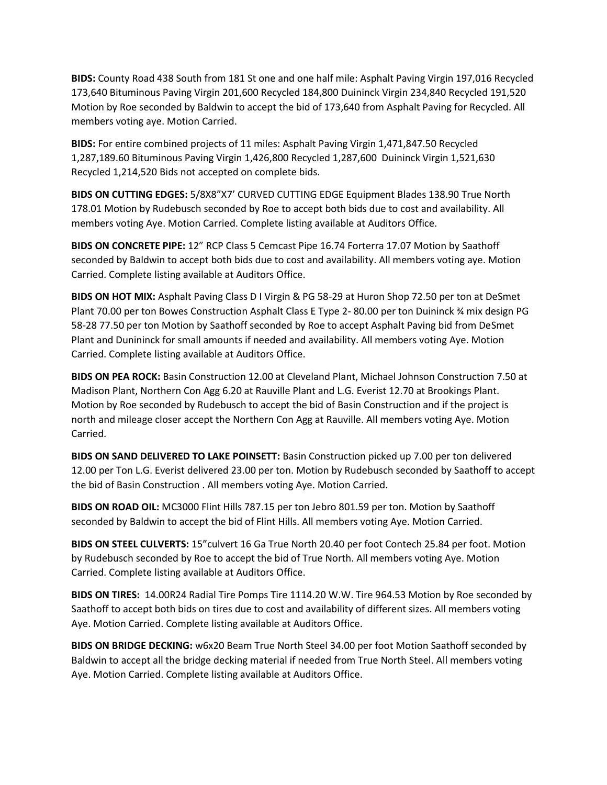**BIDS:** County Road 438 South from 181 St one and one half mile: Asphalt Paving Virgin 197,016 Recycled 173,640 Bituminous Paving Virgin 201,600 Recycled 184,800 Duininck Virgin 234,840 Recycled 191,520 Motion by Roe seconded by Baldwin to accept the bid of 173,640 from Asphalt Paving for Recycled. All members voting aye. Motion Carried.

**BIDS:** For entire combined projects of 11 miles: Asphalt Paving Virgin 1,471,847.50 Recycled 1,287,189.60 Bituminous Paving Virgin 1,426,800 Recycled 1,287,600 Duininck Virgin 1,521,630 Recycled 1,214,520 Bids not accepted on complete bids.

**BIDS ON CUTTING EDGES:** 5/8X8"X7' CURVED CUTTING EDGE Equipment Blades 138.90 True North 178.01 Motion by Rudebusch seconded by Roe to accept both bids due to cost and availability. All members voting Aye. Motion Carried. Complete listing available at Auditors Office.

**BIDS ON CONCRETE PIPE:** 12" RCP Class 5 Cemcast Pipe 16.74 Forterra 17.07 Motion by Saathoff seconded by Baldwin to accept both bids due to cost and availability. All members voting aye. Motion Carried. Complete listing available at Auditors Office.

**BIDS ON HOT MIX:** Asphalt Paving Class D I Virgin & PG 58-29 at Huron Shop 72.50 per ton at DeSmet Plant 70.00 per ton Bowes Construction Asphalt Class E Type 2- 80.00 per ton Duininck ¾ mix design PG 58-28 77.50 per ton Motion by Saathoff seconded by Roe to accept Asphalt Paving bid from DeSmet Plant and Dunininck for small amounts if needed and availability. All members voting Aye. Motion Carried. Complete listing available at Auditors Office.

**BIDS ON PEA ROCK:** Basin Construction 12.00 at Cleveland Plant, Michael Johnson Construction 7.50 at Madison Plant, Northern Con Agg 6.20 at Rauville Plant and L.G. Everist 12.70 at Brookings Plant. Motion by Roe seconded by Rudebusch to accept the bid of Basin Construction and if the project is north and mileage closer accept the Northern Con Agg at Rauville. All members voting Aye. Motion Carried.

**BIDS ON SAND DELIVERED TO LAKE POINSETT:** Basin Construction picked up 7.00 per ton delivered 12.00 per Ton L.G. Everist delivered 23.00 per ton. Motion by Rudebusch seconded by Saathoff to accept the bid of Basin Construction . All members voting Aye. Motion Carried.

**BIDS ON ROAD OIL:** MC3000 Flint Hills 787.15 per ton Jebro 801.59 per ton. Motion by Saathoff seconded by Baldwin to accept the bid of Flint Hills. All members voting Aye. Motion Carried.

**BIDS ON STEEL CULVERTS:** 15"culvert 16 Ga True North 20.40 per foot Contech 25.84 per foot. Motion by Rudebusch seconded by Roe to accept the bid of True North. All members voting Aye. Motion Carried. Complete listing available at Auditors Office.

**BIDS ON TIRES:** 14.00R24 Radial Tire Pomps Tire 1114.20 W.W. Tire 964.53 Motion by Roe seconded by Saathoff to accept both bids on tires due to cost and availability of different sizes. All members voting Aye. Motion Carried. Complete listing available at Auditors Office.

**BIDS ON BRIDGE DECKING:** w6x20 Beam True North Steel 34.00 per foot Motion Saathoff seconded by Baldwin to accept all the bridge decking material if needed from True North Steel. All members voting Aye. Motion Carried. Complete listing available at Auditors Office.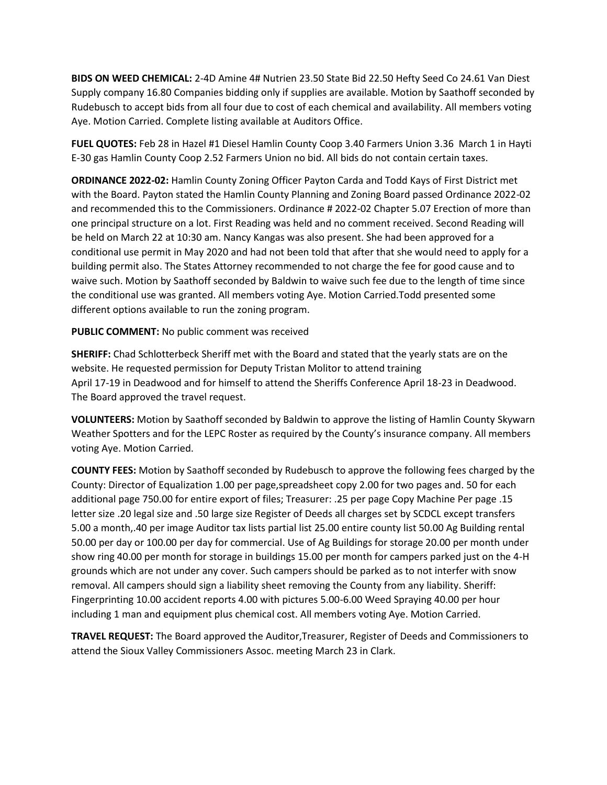**BIDS ON WEED CHEMICAL:** 2-4D Amine 4# Nutrien 23.50 State Bid 22.50 Hefty Seed Co 24.61 Van Diest Supply company 16.80 Companies bidding only if supplies are available. Motion by Saathoff seconded by Rudebusch to accept bids from all four due to cost of each chemical and availability. All members voting Aye. Motion Carried. Complete listing available at Auditors Office.

**FUEL QUOTES:** Feb 28 in Hazel #1 Diesel Hamlin County Coop 3.40 Farmers Union 3.36 March 1 in Hayti E-30 gas Hamlin County Coop 2.52 Farmers Union no bid. All bids do not contain certain taxes.

**ORDINANCE 2022-02:** Hamlin County Zoning Officer Payton Carda and Todd Kays of First District met with the Board. Payton stated the Hamlin County Planning and Zoning Board passed Ordinance 2022-02 and recommended this to the Commissioners. Ordinance # 2022-02 Chapter 5.07 Erection of more than one principal structure on a lot. First Reading was held and no comment received. Second Reading will be held on March 22 at 10:30 am. Nancy Kangas was also present. She had been approved for a conditional use permit in May 2020 and had not been told that after that she would need to apply for a building permit also. The States Attorney recommended to not charge the fee for good cause and to waive such. Motion by Saathoff seconded by Baldwin to waive such fee due to the length of time since the conditional use was granted. All members voting Aye. Motion Carried.Todd presented some different options available to run the zoning program.

**PUBLIC COMMENT:** No public comment was received

**SHERIFF:** Chad Schlotterbeck Sheriff met with the Board and stated that the yearly stats are on the website. He requested permission for Deputy Tristan Molitor to attend training April 17-19 in Deadwood and for himself to attend the Sheriffs Conference April 18-23 in Deadwood. The Board approved the travel request.

**VOLUNTEERS:** Motion by Saathoff seconded by Baldwin to approve the listing of Hamlin County Skywarn Weather Spotters and for the LEPC Roster as required by the County's insurance company. All members voting Aye. Motion Carried.

**COUNTY FEES:** Motion by Saathoff seconded by Rudebusch to approve the following fees charged by the County: Director of Equalization 1.00 per page,spreadsheet copy 2.00 for two pages and. 50 for each additional page 750.00 for entire export of files; Treasurer: .25 per page Copy Machine Per page .15 letter size .20 legal size and .50 large size Register of Deeds all charges set by SCDCL except transfers 5.00 a month,.40 per image Auditor tax lists partial list 25.00 entire county list 50.00 Ag Building rental 50.00 per day or 100.00 per day for commercial. Use of Ag Buildings for storage 20.00 per month under show ring 40.00 per month for storage in buildings 15.00 per month for campers parked just on the 4-H grounds which are not under any cover. Such campers should be parked as to not interfer with snow removal. All campers should sign a liability sheet removing the County from any liability. Sheriff: Fingerprinting 10.00 accident reports 4.00 with pictures 5.00-6.00 Weed Spraying 40.00 per hour including 1 man and equipment plus chemical cost. All members voting Aye. Motion Carried.

**TRAVEL REQUEST:** The Board approved the Auditor,Treasurer, Register of Deeds and Commissioners to attend the Sioux Valley Commissioners Assoc. meeting March 23 in Clark.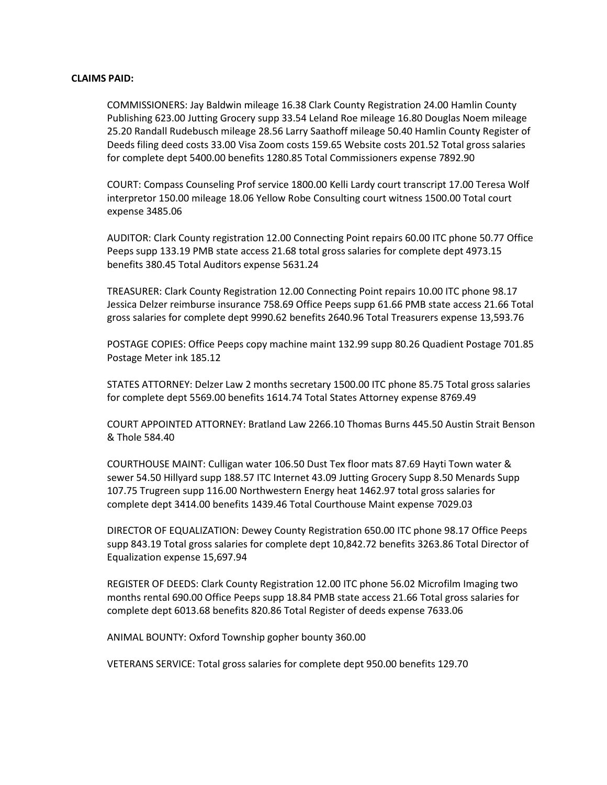## **CLAIMS PAID:**

COMMISSIONERS: Jay Baldwin mileage 16.38 Clark County Registration 24.00 Hamlin County Publishing 623.00 Jutting Grocery supp 33.54 Leland Roe mileage 16.80 Douglas Noem mileage 25.20 Randall Rudebusch mileage 28.56 Larry Saathoff mileage 50.40 Hamlin County Register of Deeds filing deed costs 33.00 Visa Zoom costs 159.65 Website costs 201.52 Total gross salaries for complete dept 5400.00 benefits 1280.85 Total Commissioners expense 7892.90

COURT: Compass Counseling Prof service 1800.00 Kelli Lardy court transcript 17.00 Teresa Wolf interpretor 150.00 mileage 18.06 Yellow Robe Consulting court witness 1500.00 Total court expense 3485.06

AUDITOR: Clark County registration 12.00 Connecting Point repairs 60.00 ITC phone 50.77 Office Peeps supp 133.19 PMB state access 21.68 total gross salaries for complete dept 4973.15 benefits 380.45 Total Auditors expense 5631.24

TREASURER: Clark County Registration 12.00 Connecting Point repairs 10.00 ITC phone 98.17 Jessica Delzer reimburse insurance 758.69 Office Peeps supp 61.66 PMB state access 21.66 Total gross salaries for complete dept 9990.62 benefits 2640.96 Total Treasurers expense 13,593.76

POSTAGE COPIES: Office Peeps copy machine maint 132.99 supp 80.26 Quadient Postage 701.85 Postage Meter ink 185.12

STATES ATTORNEY: Delzer Law 2 months secretary 1500.00 ITC phone 85.75 Total gross salaries for complete dept 5569.00 benefits 1614.74 Total States Attorney expense 8769.49

COURT APPOINTED ATTORNEY: Bratland Law 2266.10 Thomas Burns 445.50 Austin Strait Benson & Thole 584.40

COURTHOUSE MAINT: Culligan water 106.50 Dust Tex floor mats 87.69 Hayti Town water & sewer 54.50 Hillyard supp 188.57 ITC Internet 43.09 Jutting Grocery Supp 8.50 Menards Supp 107.75 Trugreen supp 116.00 Northwestern Energy heat 1462.97 total gross salaries for complete dept 3414.00 benefits 1439.46 Total Courthouse Maint expense 7029.03

DIRECTOR OF EQUALIZATION: Dewey County Registration 650.00 ITC phone 98.17 Office Peeps supp 843.19 Total gross salaries for complete dept 10,842.72 benefits 3263.86 Total Director of Equalization expense 15,697.94

REGISTER OF DEEDS: Clark County Registration 12.00 ITC phone 56.02 Microfilm Imaging two months rental 690.00 Office Peeps supp 18.84 PMB state access 21.66 Total gross salaries for complete dept 6013.68 benefits 820.86 Total Register of deeds expense 7633.06

ANIMAL BOUNTY: Oxford Township gopher bounty 360.00

VETERANS SERVICE: Total gross salaries for complete dept 950.00 benefits 129.70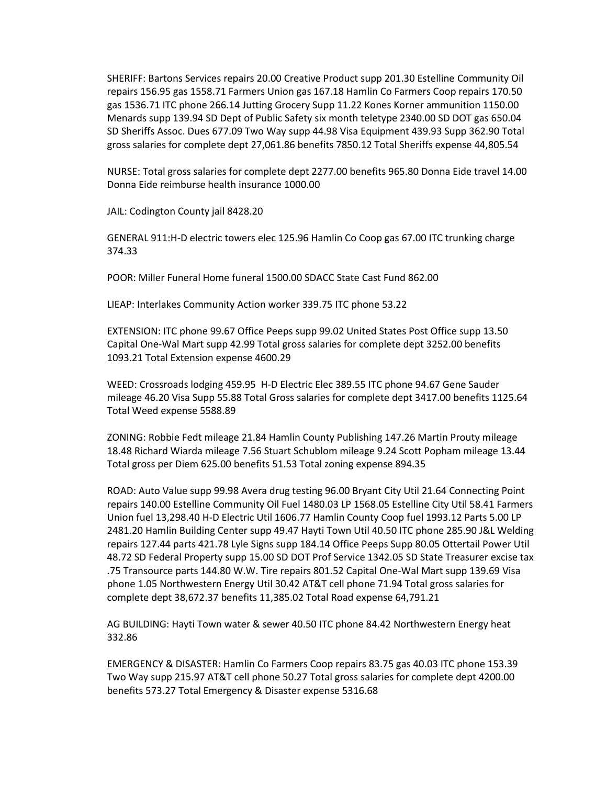SHERIFF: Bartons Services repairs 20.00 Creative Product supp 201.30 Estelline Community Oil repairs 156.95 gas 1558.71 Farmers Union gas 167.18 Hamlin Co Farmers Coop repairs 170.50 gas 1536.71 ITC phone 266.14 Jutting Grocery Supp 11.22 Kones Korner ammunition 1150.00 Menards supp 139.94 SD Dept of Public Safety six month teletype 2340.00 SD DOT gas 650.04 SD Sheriffs Assoc. Dues 677.09 Two Way supp 44.98 Visa Equipment 439.93 Supp 362.90 Total gross salaries for complete dept 27,061.86 benefits 7850.12 Total Sheriffs expense 44,805.54

NURSE: Total gross salaries for complete dept 2277.00 benefits 965.80 Donna Eide travel 14.00 Donna Eide reimburse health insurance 1000.00

JAIL: Codington County jail 8428.20

GENERAL 911:H-D electric towers elec 125.96 Hamlin Co Coop gas 67.00 ITC trunking charge 374.33

POOR: Miller Funeral Home funeral 1500.00 SDACC State Cast Fund 862.00

LIEAP: Interlakes Community Action worker 339.75 ITC phone 53.22

EXTENSION: ITC phone 99.67 Office Peeps supp 99.02 United States Post Office supp 13.50 Capital One-Wal Mart supp 42.99 Total gross salaries for complete dept 3252.00 benefits 1093.21 Total Extension expense 4600.29

WEED: Crossroads lodging 459.95 H-D Electric Elec 389.55 ITC phone 94.67 Gene Sauder mileage 46.20 Visa Supp 55.88 Total Gross salaries for complete dept 3417.00 benefits 1125.64 Total Weed expense 5588.89

ZONING: Robbie Fedt mileage 21.84 Hamlin County Publishing 147.26 Martin Prouty mileage 18.48 Richard Wiarda mileage 7.56 Stuart Schublom mileage 9.24 Scott Popham mileage 13.44 Total gross per Diem 625.00 benefits 51.53 Total zoning expense 894.35

ROAD: Auto Value supp 99.98 Avera drug testing 96.00 Bryant City Util 21.64 Connecting Point repairs 140.00 Estelline Community Oil Fuel 1480.03 LP 1568.05 Estelline City Util 58.41 Farmers Union fuel 13,298.40 H-D Electric Util 1606.77 Hamlin County Coop fuel 1993.12 Parts 5.00 LP 2481.20 Hamlin Building Center supp 49.47 Hayti Town Util 40.50 ITC phone 285.90 J&L Welding repairs 127.44 parts 421.78 Lyle Signs supp 184.14 Office Peeps Supp 80.05 Ottertail Power Util 48.72 SD Federal Property supp 15.00 SD DOT Prof Service 1342.05 SD State Treasurer excise tax .75 Transource parts 144.80 W.W. Tire repairs 801.52 Capital One-Wal Mart supp 139.69 Visa phone 1.05 Northwestern Energy Util 30.42 AT&T cell phone 71.94 Total gross salaries for complete dept 38,672.37 benefits 11,385.02 Total Road expense 64,791.21

AG BUILDING: Hayti Town water & sewer 40.50 ITC phone 84.42 Northwestern Energy heat 332.86

EMERGENCY & DISASTER: Hamlin Co Farmers Coop repairs 83.75 gas 40.03 ITC phone 153.39 Two Way supp 215.97 AT&T cell phone 50.27 Total gross salaries for complete dept 4200.00 benefits 573.27 Total Emergency & Disaster expense 5316.68